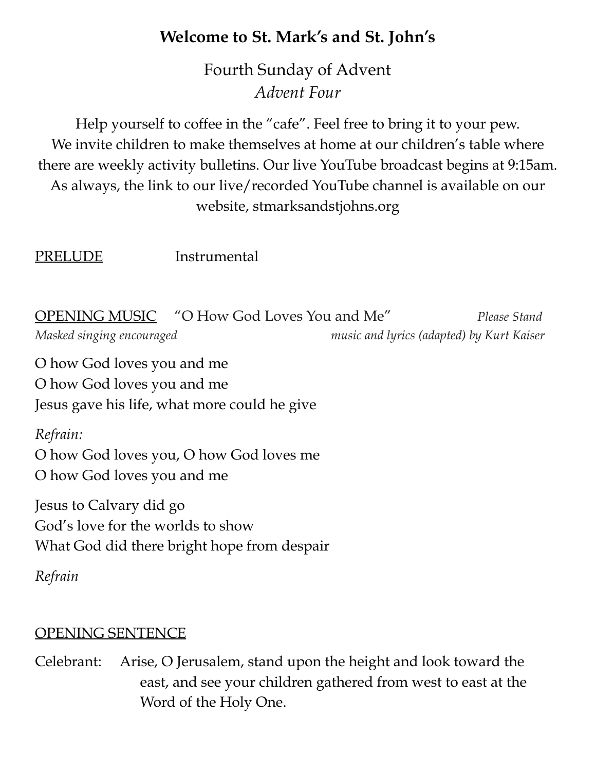# **Welcome to St. Mark's and St. John's**

Fourth Sunday of Advent *Advent Four*

Help yourself to coffee in the "cafe". Feel free to bring it to your pew. We invite children to make themselves at home at our children's table where there are weekly activity bulletins. Our live YouTube broadcast begins at 9:15am. As always, the link to our live/recorded YouTube channel is available on our website, stmarksandstjohns.org

PRELUDE Instrumental

OPENING MUSIC "O How God Loves You and Me" *Please Stand Masked singing encouraged music and lyrics (adapted) by Kurt Kaiser*

O how God loves you and me O how God loves you and me Jesus gave his life, what more could he give

#### *Refrain:*

O how God loves you, O how God loves me O how God loves you and me

Jesus to Calvary did go God's love for the worlds to show What God did there bright hope from despair

*Refrain*

## OPENING SENTENCE

Celebrant: Arise, O Jerusalem, stand upon the height and look toward the east, and see your children gathered from west to east at the Word of the Holy One.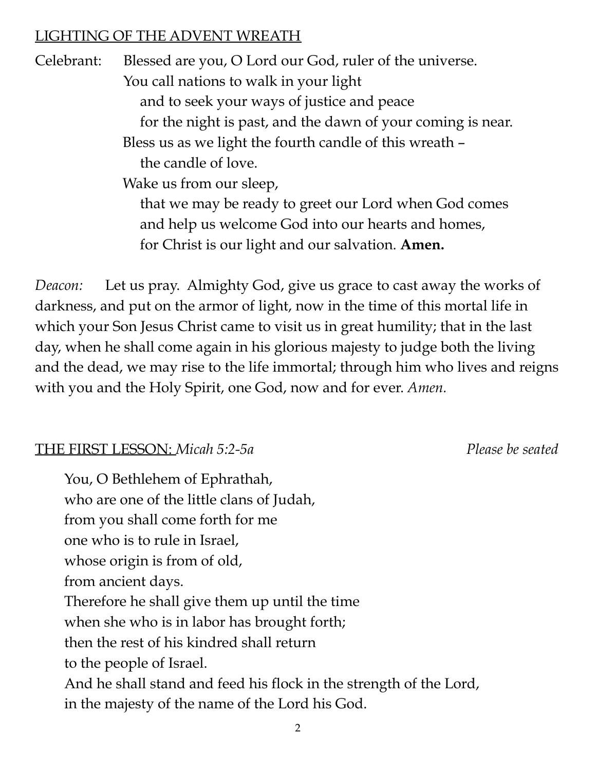## LIGHTING OF THE ADVENT WREATH

Celebrant: Blessed are you, O Lord our God, ruler of the universe. You call nations to walk in your light and to seek your ways of justice and peace for the night is past, and the dawn of your coming is near. Bless us as we light the fourth candle of this wreath – the candle of love. Wake us from our sleep, that we may be ready to greet our Lord when God comes and help us welcome God into our hearts and homes, for Christ is our light and our salvation. **Amen.**

*Deacon:* Let us pray. Almighty God, give us grace to cast away the works of darkness, and put on the armor of light, now in the time of this mortal life in which your Son Jesus Christ came to visit us in great humility; that in the last day, when he shall come again in his glorious majesty to judge both the living and the dead, we may rise to the life immortal; through him who lives and reigns with you and the Holy Spirit, one God, now and for ever. *Amen.*

#### THE FIRST LESSON: *Micah 5:2-5a Please be seated*

You, O Bethlehem of Ephrathah, who are one of the little clans of Judah, from you shall come forth for me one who is to rule in Israel, whose origin is from of old, from ancient days. Therefore he shall give them up until the time when she who is in labor has brought forth; then the rest of his kindred shall return to the people of Israel. And he shall stand and feed his flock in the strength of the Lord, in the majesty of the name of the Lord his God.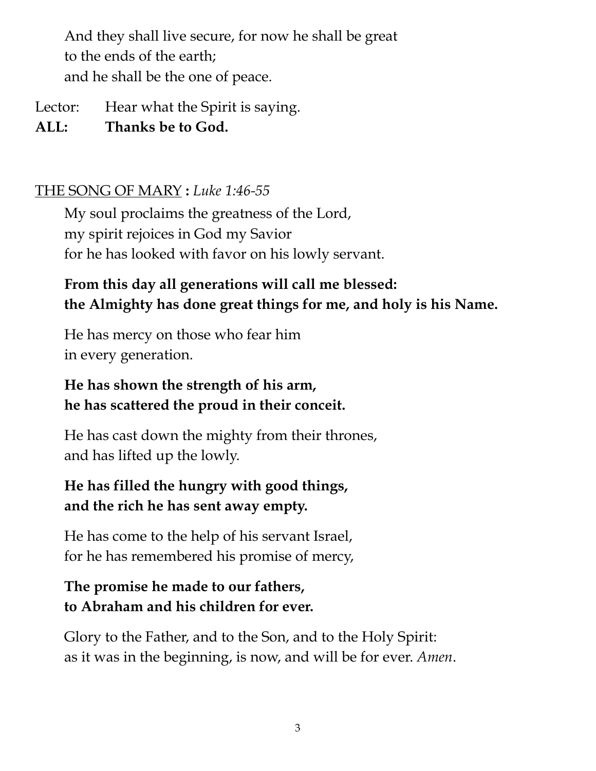And they shall live secure, for now he shall be great to the ends of the earth; and he shall be the one of peace.

Lector: Hear what the Spirit is saying.

**ALL: Thanks be to God.**

#### THE SONG OF MARY **:** *Luke 1:46-55*

My soul proclaims the greatness of the Lord, my spirit rejoices in God my Savior for he has looked with favor on his lowly servant.

## **From this day all generations will call me blessed: the Almighty has done great things for me, and holy is his Name.**

He has mercy on those who fear him in every generation.

# **He has shown the strength of his arm, he has scattered the proud in their conceit.**

He has cast down the mighty from their thrones, and has lifted up the lowly.

# **He has filled the hungry with good things, and the rich he has sent away empty.**

He has come to the help of his servant Israel, for he has remembered his promise of mercy,

# **The promise he made to our fathers, to Abraham and his children for ever.**

Glory to the Father, and to the Son, and to the Holy Spirit: as it was in the beginning, is now, and will be for ever. *Amen*.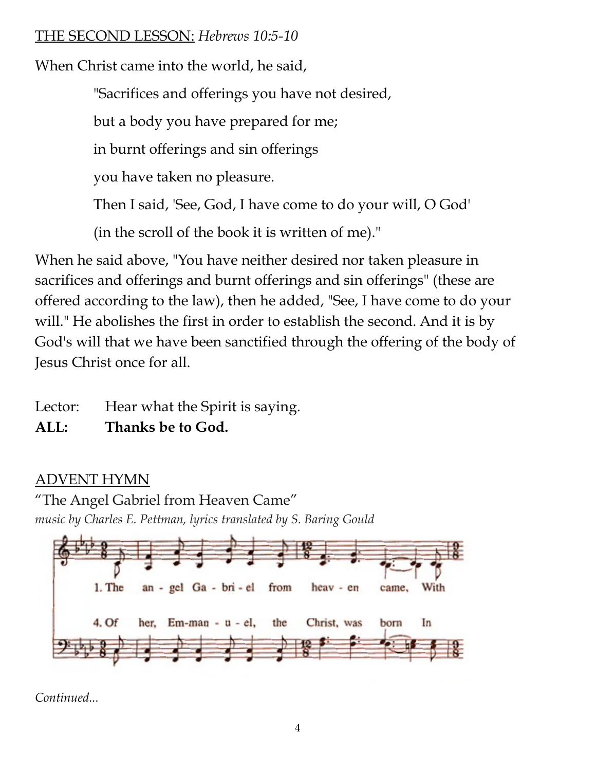## THE SECOND LESSON: *Hebrews 10:5-10*

When Christ came into the world, he said,

"Sacrifices and offerings you have not desired,

but a body you have prepared for me;

in burnt offerings and sin offerings

you have taken no pleasure.

Then I said, 'See, God, I have come to do your will, O God'

(in the scroll of the book it is written of me)."

When he said above, "You have neither desired nor taken pleasure in sacrifices and offerings and burnt offerings and sin offerings" (these are offered according to the law), then he added, "See, I have come to do your will." He abolishes the first in order to establish the second. And it is by God's will that we have been sanctified through the offering of the body of Jesus Christ once for all.

Lector: Hear what the Spirit is saying.

**ALL: Thanks be to God.**

# ADVENT HYMN

"The Angel Gabriel from Heaven Came" *music by Charles E. Pettman, lyrics translated by S. Baring Gould*



*Continued...*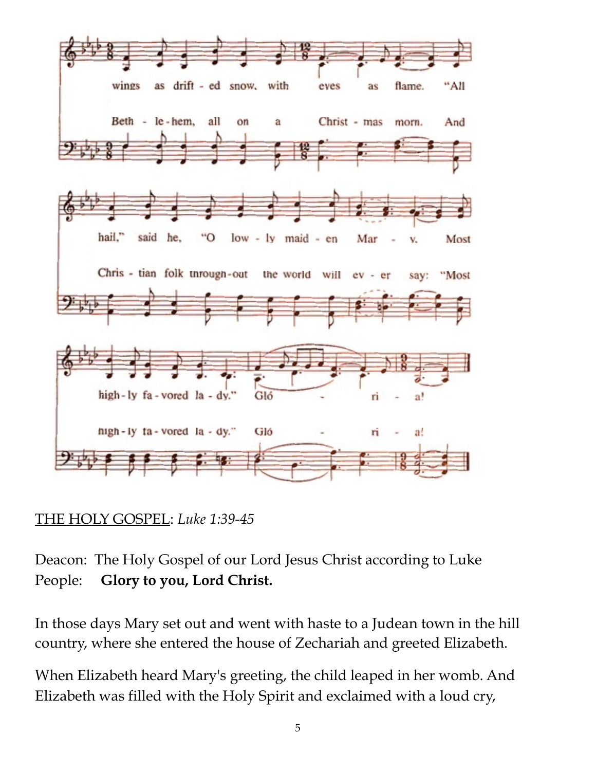

## THE HOLY GOSPEL: *Luke 1:39-45*

Deacon: The Holy Gospel of our Lord Jesus Christ according to Luke People: **Glory to you, Lord Christ.**

In those days Mary set out and went with haste to a Judean town in the hill country, where she entered the house of Zechariah and greeted Elizabeth.

When Elizabeth heard Mary's greeting, the child leaped in her womb. And Elizabeth was filled with the Holy Spirit and exclaimed with a loud cry,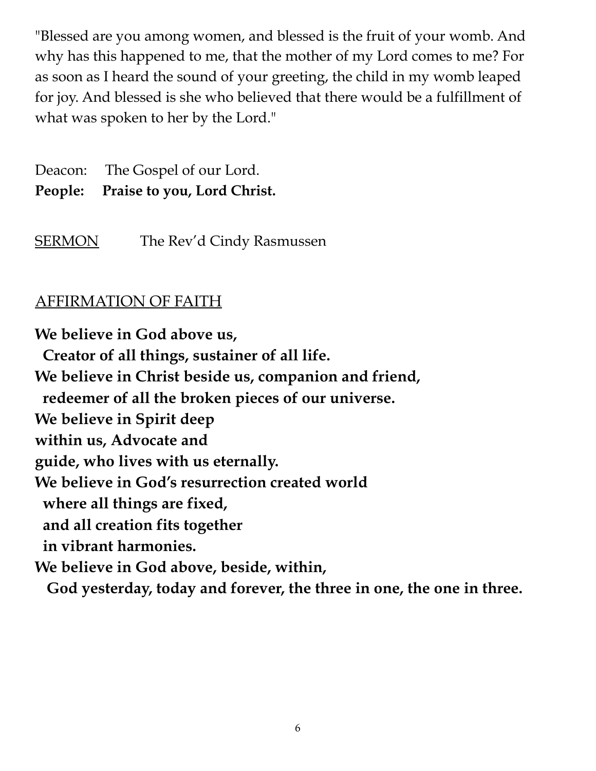"Blessed are you among women, and blessed is the fruit of your womb. And why has this happened to me, that the mother of my Lord comes to me? For as soon as I heard the sound of your greeting, the child in my womb leaped for joy. And blessed is she who believed that there would be a fulfillment of what was spoken to her by the Lord."

Deacon: The Gospel of our Lord. **People: Praise to you, Lord Christ.**

SERMON The Rev'd Cindy Rasmussen

## AFFIRMATION OF FAITH

**We believe in God above us, Creator of all things, sustainer of all life. We believe in Christ beside us, companion and friend, redeemer of all the broken pieces of our universe. We believe in Spirit deep within us, Advocate and guide, who lives with us eternally. We believe in God's resurrection created world where all things are fixed, and all creation fits together in vibrant harmonies. We believe in God above, beside, within, God yesterday, today and forever, the three in one, the one in three.**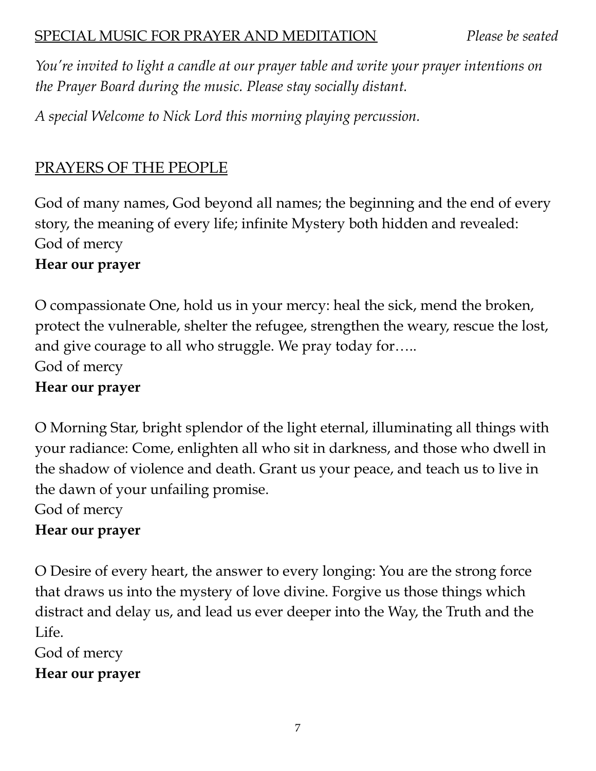*You're invited to light a candle at our prayer table and write your prayer intentions on the Prayer Board during the music. Please stay socially distant.*

*A special Welcome to Nick Lord this morning playing percussion.*

# PRAYERS OF THE PEOPLE

God of many names, God beyond all names; the beginning and the end of every story, the meaning of every life; infinite Mystery both hidden and revealed: God of mercy

## **Hear our prayer**

O compassionate One, hold us in your mercy: heal the sick, mend the broken, protect the vulnerable, shelter the refugee, strengthen the weary, rescue the lost, and give courage to all who struggle. We pray today for….. God of mercy **Hear our prayer**

O Morning Star, bright splendor of the light eternal, illuminating all things with your radiance: Come, enlighten all who sit in darkness, and those who dwell in the shadow of violence and death. Grant us your peace, and teach us to live in the dawn of your unfailing promise.

God of mercy

## **Hear our prayer**

O Desire of every heart, the answer to every longing: You are the strong force that draws us into the mystery of love divine. Forgive us those things which distract and delay us, and lead us ever deeper into the Way, the Truth and the Life.

God of mercy

**Hear our prayer**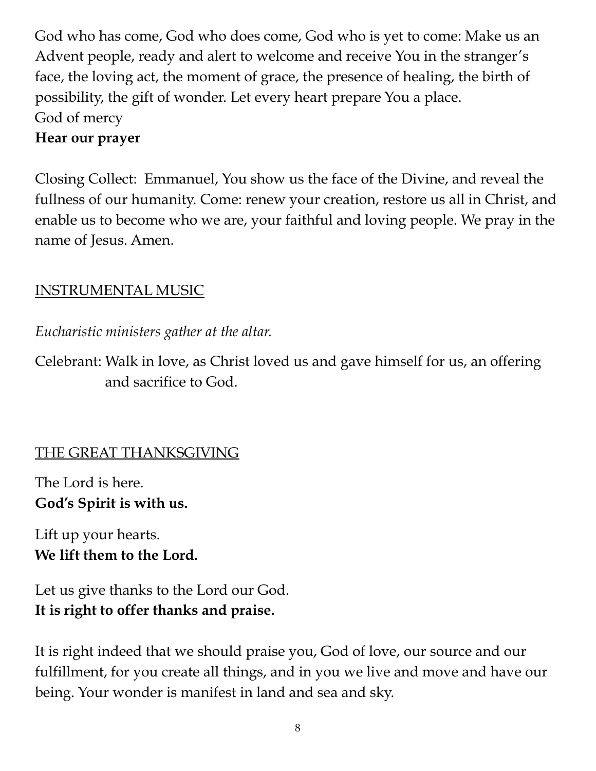God who has come, God who does come, God who is yet to come: Make us an Advent people, ready and alert to welcome and receive You in the stranger's face, the loving act, the moment of grace, the presence of healing, the birth of possibility, the gift of wonder. Let every heart prepare You a place. God of mercy

## **Hear our prayer**

Closing Collect: Emmanuel, You show us the face of the Divine, and reveal the fullness of our humanity. Come: renew your creation, restore us all in Christ, and enable us to become who we are, your faithful and loving people. We pray in the name of Jesus. Amen.

# INSTRUMENTAL MUSIC

*Eucharistic ministers gather at the altar.*

Celebrant: Walk in love, as Christ loved us and gave himself for us, an offering and sacrifice to God.

# THE GREAT THANKSGIVING

The Lord is here. **God's Spirit is with us.**

Lift up your hearts. **We lift them to the Lord.**

Let us give thanks to the Lord our God. **It is right to offer thanks and praise.**

It is right indeed that we should praise you, God of love, our source and our fulfillment, for you create all things, and in you we live and move and have our being. Your wonder is manifest in land and sea and sky.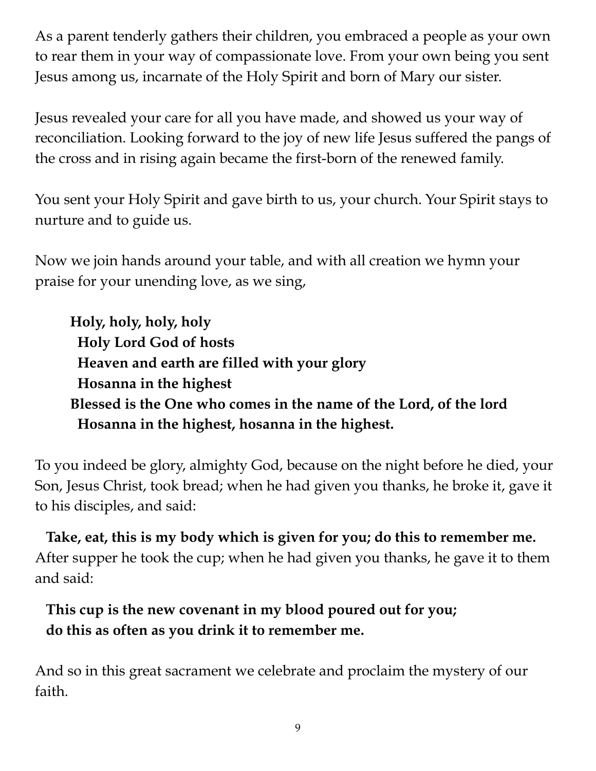As a parent tenderly gathers their children, you embraced a people as your own to rear them in your way of compassionate love. From your own being you sent Jesus among us, incarnate of the Holy Spirit and born of Mary our sister.

Jesus revealed your care for all you have made, and showed us your way of reconciliation. Looking forward to the joy of new life Jesus suffered the pangs of the cross and in rising again became the first-born of the renewed family.

You sent your Holy Spirit and gave birth to us, your church. Your Spirit stays to nurture and to guide us.

Now we join hands around your table, and with all creation we hymn your praise for your unending love, as we sing,

**Holy, holy, holy, holy Holy Lord God of hosts Heaven and earth are filled with your glory Hosanna in the highest Blessed is the One who comes in the name of the Lord, of the lord Hosanna in the highest, hosanna in the highest.**

To you indeed be glory, almighty God, because on the night before he died, your Son, Jesus Christ, took bread; when he had given you thanks, he broke it, gave it to his disciples, and said:

**Take, eat, this is my body which is given for you; do this to remember me.** After supper he took the cup; when he had given you thanks, he gave it to them and said:

# **This cup is the new covenant in my blood poured out for you; do this as often as you drink it to remember me.**

And so in this great sacrament we celebrate and proclaim the mystery of our faith.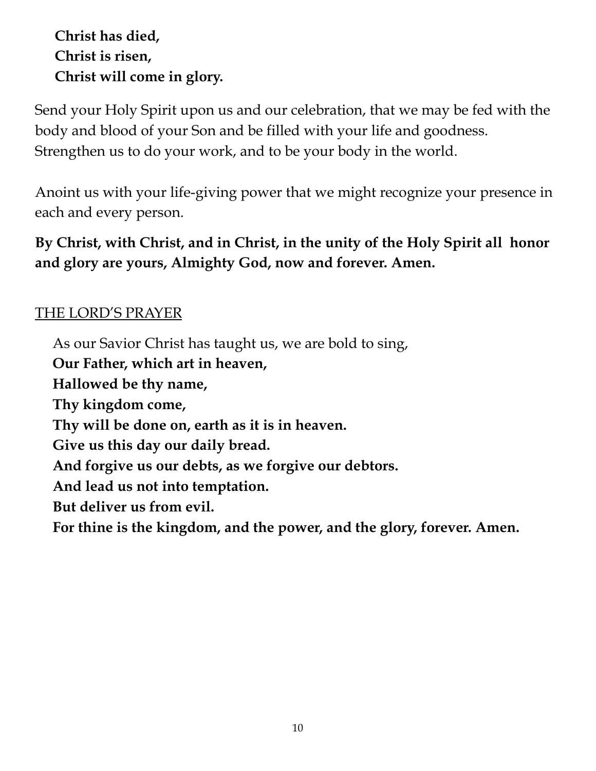**Christ has died, Christ is risen, Christ will come in glory.**

Send your Holy Spirit upon us and our celebration, that we may be fed with the body and blood of your Son and be filled with your life and goodness. Strengthen us to do your work, and to be your body in the world.

Anoint us with your life-giving power that we might recognize your presence in each and every person.

**By Christ, with Christ, and in Christ, in the unity of the Holy Spirit all honor and glory are yours, Almighty God, now and forever. Amen.**

## THE LORD'S PRAYER

As our Savior Christ has taught us, we are bold to sing,

**Our Father, which art in heaven,**

**Hallowed be thy name,**

**Thy kingdom come,**

**Thy will be done on, earth as it is in heaven.**

**Give us this day our daily bread.**

**And forgive us our debts, as we forgive our debtors.**

**And lead us not into temptation.**

**But deliver us from evil.**

**For thine is the kingdom, and the power, and the glory, forever. Amen.**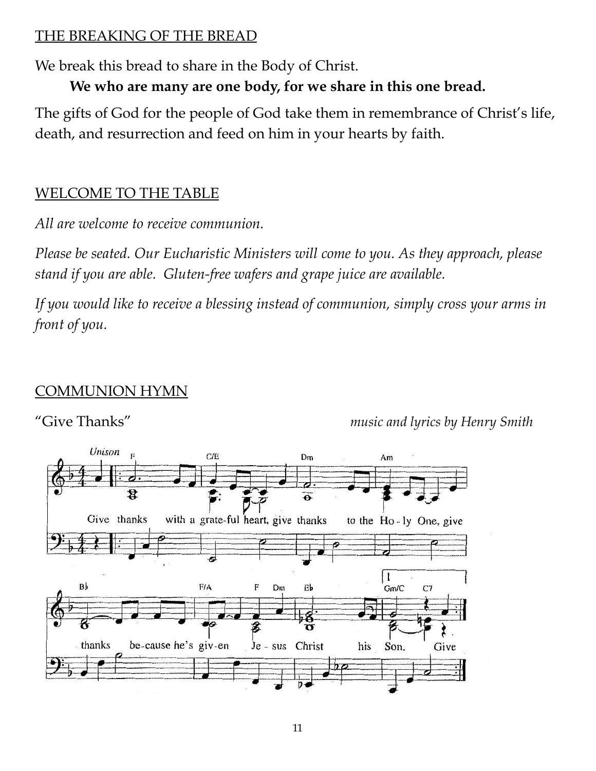## THE BREAKING OF THE BREAD

We break this bread to share in the Body of Christ.

**We who are many are one body, for we share in this one bread.**

The gifts of God for the people of God take them in remembrance of Christ's life, death, and resurrection and feed on him in your hearts by faith.

## WELCOME TO THE TABLE

*All are welcome to receive communion.*

*Please be seated. Our Eucharistic Ministers will come to you. As they approach, please stand if you are able. Gluten-free wafers and grape juice are available.*

*If you would like to receive a blessing instead of communion, simply cross your arms in front of you.*

## COMMUNION HYMN

"Give Thanks" *music and lyrics by Henry Smith*

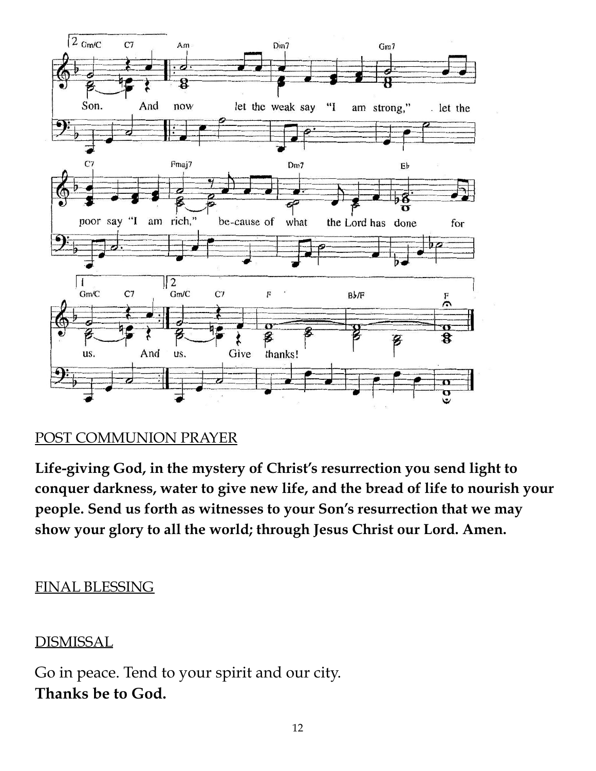

## POST COMMUNION PRAYER

**Life-giving God, in the mystery of Christ's resurrection you send light to conquer darkness, water to give new life, and the bread of life to nourish your people. Send us forth as witnesses to your Son's resurrection that we may show your glory to all the world; through Jesus Christ our Lord. Amen.**

## FINAL BLESSING

## DISMISSAL

Go in peace. Tend to your spirit and our city. **Thanks be to God.**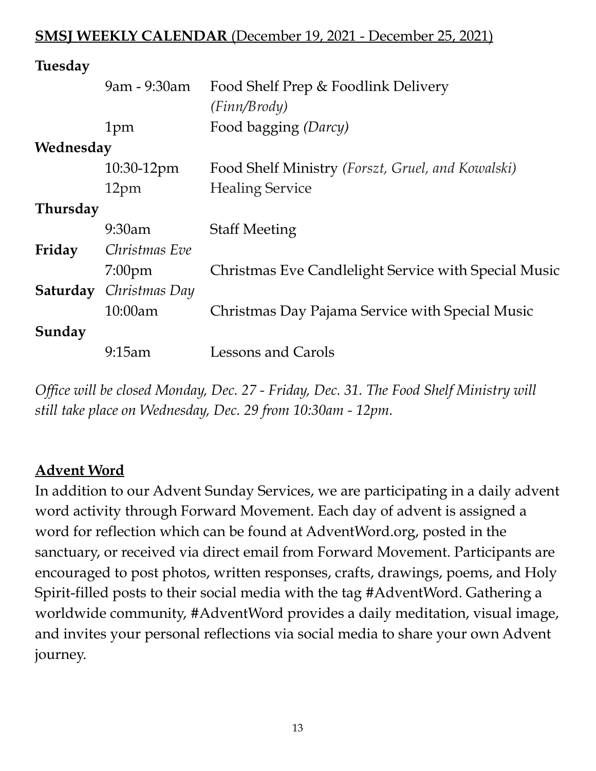#### **SMSJ WEEKLY CALENDAR** (December 19, 2021 - December 25, 2021)

| <b>Tuesday</b>  |                                      |                                                      |  |  |
|-----------------|--------------------------------------|------------------------------------------------------|--|--|
|                 | 9am - 9:30am                         | Food Shelf Prep & Foodlink Delivery                  |  |  |
|                 |                                      | (Finn/Brody)                                         |  |  |
|                 | 1pm                                  | Food bagging (Darcy)                                 |  |  |
| Wednesday       |                                      |                                                      |  |  |
|                 | 10:30-12pm                           | Food Shelf Ministry (Forszt, Gruel, and Kowalski)    |  |  |
|                 | 12pm                                 | <b>Healing Service</b>                               |  |  |
| <b>Thursday</b> |                                      |                                                      |  |  |
|                 | 9:30am                               | <b>Staff Meeting</b>                                 |  |  |
| Friday          | Christmas Eve                        |                                                      |  |  |
|                 | $7:00$ pm                            | Christmas Eve Candlelight Service with Special Music |  |  |
|                 | <b>Saturday</b> <i>Christmas Day</i> |                                                      |  |  |
|                 | $10:00$ am                           | Christmas Day Pajama Service with Special Music      |  |  |
| Sunday          |                                      |                                                      |  |  |
|                 | 9:15am                               | Lessons and Carols                                   |  |  |
|                 |                                      |                                                      |  |  |

*Office will be closed Monday, Dec. 27 - Friday, Dec. 31. The Food Shelf Ministry will still take place on Wednesday, Dec. 29 from 10:30am - 12pm.*

#### **Advent Word**

In addition to our Advent Sunday Services, we are participating in a daily advent word activity through Forward Movement. Each day of advent is assigned a word for reflection which can be found at AdventWord.org, posted in the sanctuary, or received via direct email from Forward Movement. Participants are encouraged to post photos, written responses, crafts, drawings, poems, and Holy Spirit-filled posts to their social media with the tag #AdventWord. Gathering a worldwide community, #AdventWord provides a daily meditation, visual image, and invites your personal reflections via social media to share your own Advent journey.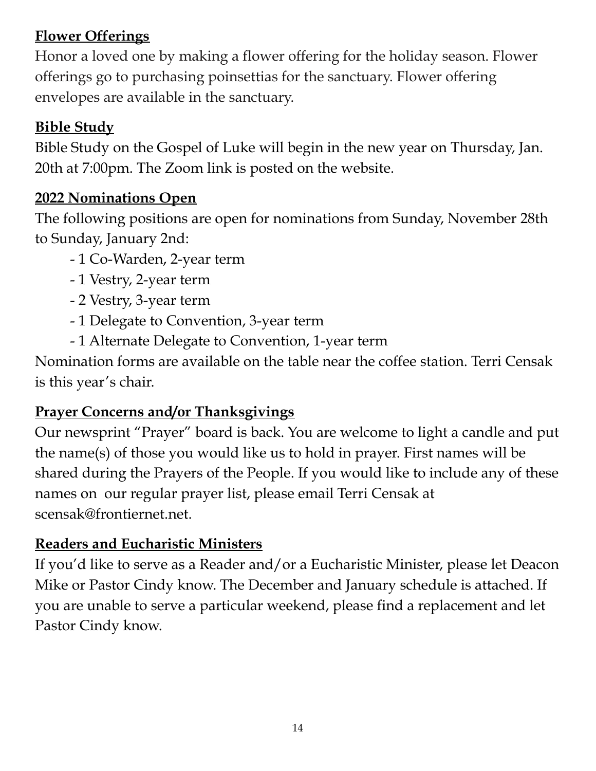# **Flower Offerings**

Honor a loved one by making a flower offering for the holiday season. Flower offerings go to purchasing poinsettias for the sanctuary. Flower offering envelopes are available in the sanctuary.

# **Bible Study**

Bible Study on the Gospel of Luke will begin in the new year on Thursday, Jan. 20th at 7:00pm. The Zoom link is posted on the website.

# **2022 Nominations Open**

The following positions are open for nominations from Sunday, November 28th to Sunday, January 2nd:

- 1 Co-Warden, 2-year term
- 1 Vestry, 2-year term
- 2 Vestry, 3-year term
- 1 Delegate to Convention, 3-year term
- 1 Alternate Delegate to Convention, 1-year term

Nomination forms are available on the table near the coffee station. Terri Censak is this year's chair.

# **Prayer Concerns and/or Thanksgivings**

Our newsprint "Prayer" board is back. You are welcome to light a candle and put the name(s) of those you would like us to hold in prayer. First names will be shared during the Prayers of the People. If you would like to include any of these names on our regular prayer list, please email Terri Censak at scensak@frontiernet.net.

# **Readers and Eucharistic Ministers**

If you'd like to serve as a Reader and/or a Eucharistic Minister, please let Deacon Mike or Pastor Cindy know. The December and January schedule is attached. If you are unable to serve a particular weekend, please find a replacement and let Pastor Cindy know.